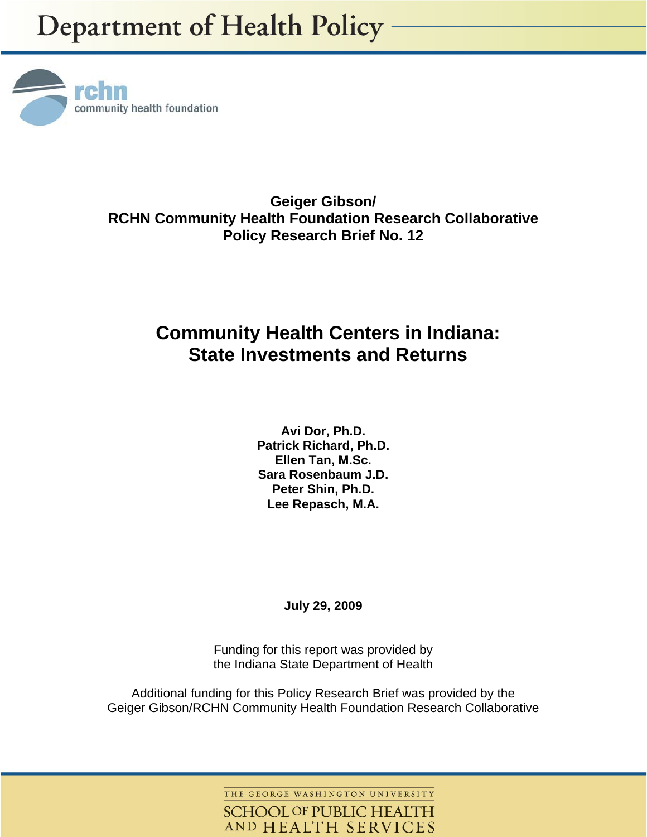

**Geiger Gibson/ RCHN Community Health Foundation Research Collaborative Policy Research Brief No. 12** 

# **Community Health Centers in Indiana: State Investments and Returns**

**Avi Dor, Ph.D. Patrick Richard, Ph.D. Ellen Tan, M.Sc. Sara Rosenbaum J.D. Peter Shin, Ph.D. Lee Repasch, M.A.** 

**July 29, 2009** 

Funding for this report was provided by the Indiana State Department of Health

Additional funding for this Policy Research Brief was provided by the Geiger Gibson/RCHN Community Health Foundation Research Collaborative

> THE GEORGE WASHINGTON UNIVERSITY **SCHOOL OF PUBLIC HEALTH** AND HEALTH SERVICES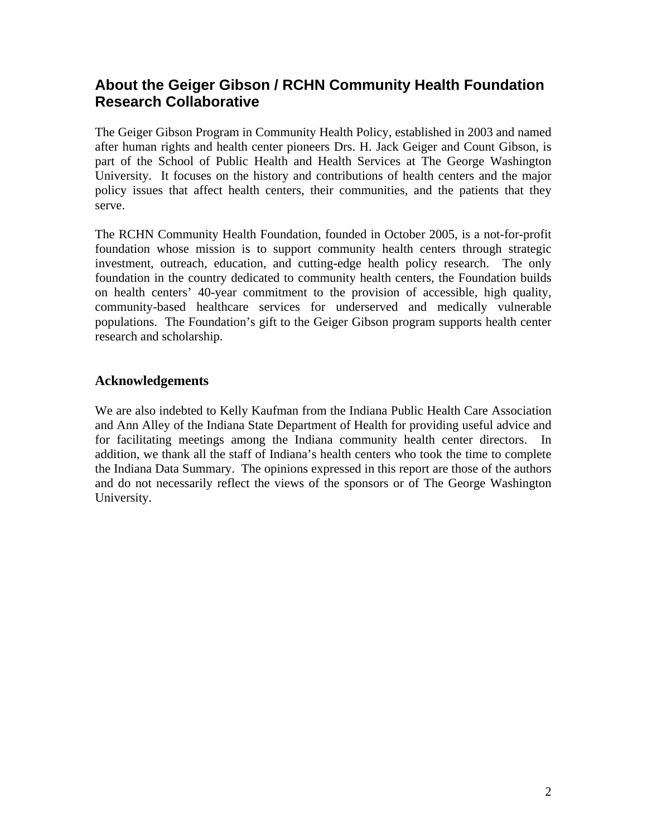## **About the Geiger Gibson / RCHN Community Health Foundation Research Collaborative**

The Geiger Gibson Program in Community Health Policy, established in 2003 and named after human rights and health center pioneers Drs. H. Jack Geiger and Count Gibson, is part of the School of Public Health and Health Services at The George Washington University. It focuses on the history and contributions of health centers and the major policy issues that affect health centers, their communities, and the patients that they serve.

The RCHN Community Health Foundation, founded in October 2005, is a not-for-profit foundation whose mission is to support community health centers through strategic investment, outreach, education, and cutting-edge health policy research. The only foundation in the country dedicated to community health centers, the Foundation builds on health centers' 40-year commitment to the provision of accessible, high quality, community-based healthcare services for underserved and medically vulnerable populations. The Foundation's gift to the Geiger Gibson program supports health center research and scholarship.

## **Acknowledgements**

We are also indebted to Kelly Kaufman from the Indiana Public Health Care Association and Ann Alley of the Indiana State Department of Health for providing useful advice and for facilitating meetings among the Indiana community health center directors. In addition, we thank all the staff of Indiana's health centers who took the time to complete the Indiana Data Summary. The opinions expressed in this report are those of the authors and do not necessarily reflect the views of the sponsors or of The George Washington University.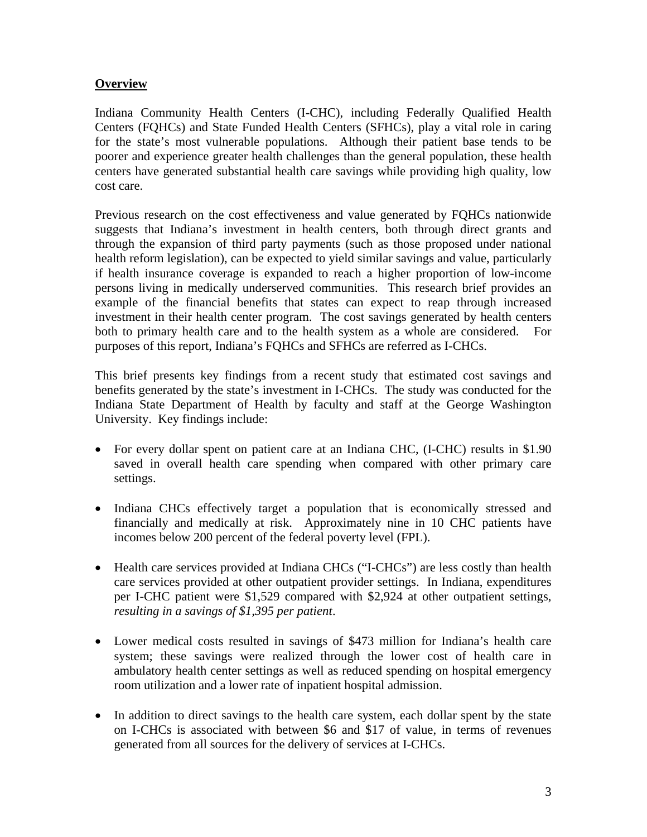## **Overview**

Indiana Community Health Centers (I-CHC), including Federally Qualified Health Centers (FQHCs) and State Funded Health Centers (SFHCs), play a vital role in caring for the state's most vulnerable populations. Although their patient base tends to be poorer and experience greater health challenges than the general population, these health centers have generated substantial health care savings while providing high quality, low cost care.

Previous research on the cost effectiveness and value generated by FQHCs nationwide suggests that Indiana's investment in health centers, both through direct grants and through the expansion of third party payments (such as those proposed under national health reform legislation), can be expected to yield similar savings and value, particularly if health insurance coverage is expanded to reach a higher proportion of low-income persons living in medically underserved communities. This research brief provides an example of the financial benefits that states can expect to reap through increased investment in their health center program. The cost savings generated by health centers both to primary health care and to the health system as a whole are considered. For purposes of this report, Indiana's FQHCs and SFHCs are referred as I-CHCs.

This brief presents key findings from a recent study that estimated cost savings and benefits generated by the state's investment in I-CHCs. The study was conducted for the Indiana State Department of Health by faculty and staff at the George Washington University. Key findings include:

- For every dollar spent on patient care at an Indiana CHC, (I-CHC) results in \$1.90 saved in overall health care spending when compared with other primary care settings.
- Indiana CHCs effectively target a population that is economically stressed and financially and medically at risk. Approximately nine in 10 CHC patients have incomes below 200 percent of the federal poverty level (FPL).
- Health care services provided at Indiana CHCs ("I-CHCs") are less costly than health care services provided at other outpatient provider settings. In Indiana, expenditures per I-CHC patient were \$1,529 compared with \$2,924 at other outpatient settings, *resulting in a savings of \$1,395 per patient*.
- Lower medical costs resulted in savings of \$473 million for Indiana's health care system; these savings were realized through the lower cost of health care in ambulatory health center settings as well as reduced spending on hospital emergency room utilization and a lower rate of inpatient hospital admission.
- In addition to direct savings to the health care system, each dollar spent by the state on I-CHCs is associated with between \$6 and \$17 of value, in terms of revenues generated from all sources for the delivery of services at I-CHCs.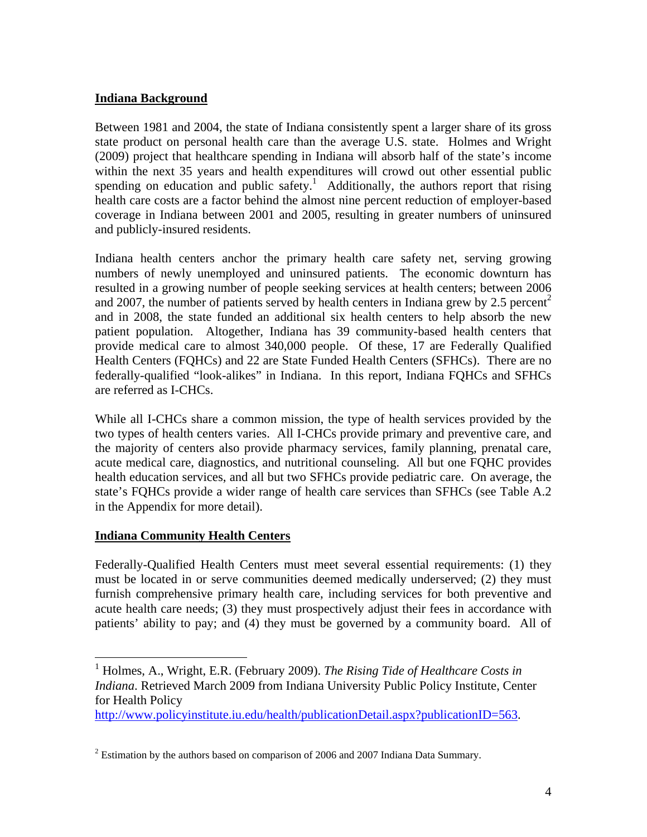## **Indiana Background**

Between 1981 and 2004, the state of Indiana consistently spent a larger share of its gross state product on personal health care than the average U.S. state. Holmes and Wright (2009) project that healthcare spending in Indiana will absorb half of the state's income within the next 35 years and health expenditures will crowd out other essential public spending on education and public safety.<sup>1</sup> Additionally, the authors report that rising health care costs are a factor behind the almost nine percent reduction of employer-based coverage in Indiana between 2001 and 2005, resulting in greater numbers of uninsured and publicly-insured residents.

Indiana health centers anchor the primary health care safety net, serving growing numbers of newly unemployed and uninsured patients. The economic downturn has resulted in a growing number of people seeking services at health centers; between 2006 and 2007, the number of patients served by health centers in Indiana grew by 2.5 percent<sup>2</sup> and in 2008, the state funded an additional six health centers to help absorb the new patient population. Altogether, Indiana has 39 community-based health centers that provide medical care to almost 340,000 people. Of these, 17 are Federally Qualified Health Centers (FQHCs) and 22 are State Funded Health Centers (SFHCs). There are no federally-qualified "look-alikes" in Indiana. In this report, Indiana FQHCs and SFHCs are referred as I-CHCs.

While all I-CHCs share a common mission, the type of health services provided by the two types of health centers varies. All I-CHCs provide primary and preventive care, and the majority of centers also provide pharmacy services, family planning, prenatal care, acute medical care, diagnostics, and nutritional counseling. All but one FQHC provides health education services, and all but two SFHCs provide pediatric care. On average, the state's FQHCs provide a wider range of health care services than SFHCs (see Table A.2 in the Appendix for more detail).

## **Indiana Community Health Centers**

1

Federally-Qualified Health Centers must meet several essential requirements: (1) they must be located in or serve communities deemed medically underserved; (2) they must furnish comprehensive primary health care, including services for both preventive and acute health care needs; (3) they must prospectively adjust their fees in accordance with patients' ability to pay; and (4) they must be governed by a community board. All of

<sup>&</sup>lt;sup>1</sup> Holmes, A., Wright, E.R. (February 2009). *The Rising Tide of Healthcare Costs in Indiana*. Retrieved March 2009 from Indiana University Public Policy Institute, Center for Health Policy

http://www.policyinstitute.iu.edu/health/publicationDetail.aspx?publicationID=563.

 $2^2$  Estimation by the authors based on comparison of 2006 and 2007 Indiana Data Summary.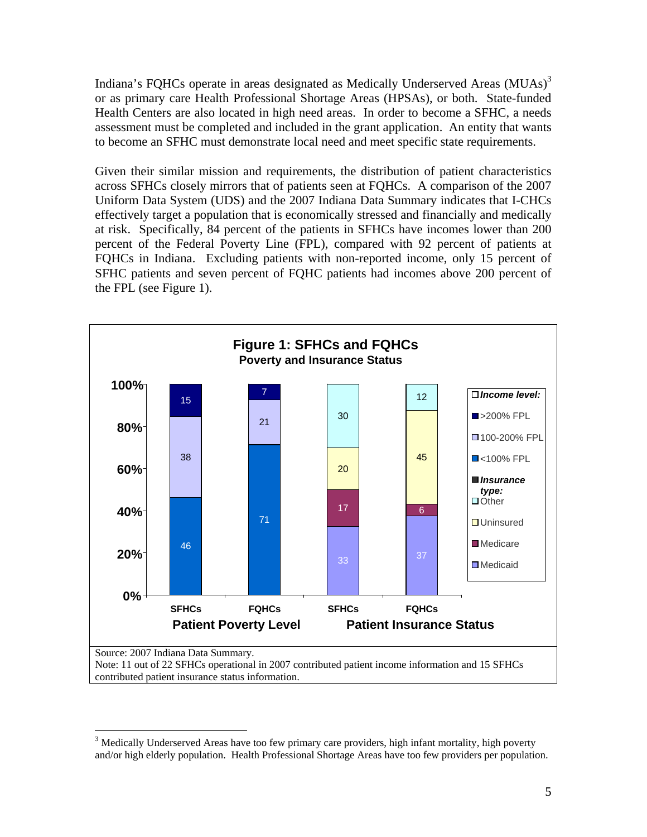Indiana's FQHCs operate in areas designated as Medically Underserved Areas (MUAs)<sup>3</sup> or as primary care Health Professional Shortage Areas (HPSAs), or both. State-funded Health Centers are also located in high need areas. In order to become a SFHC, a needs assessment must be completed and included in the grant application. An entity that wants to become an SFHC must demonstrate local need and meet specific state requirements.

Given their similar mission and requirements, the distribution of patient characteristics across SFHCs closely mirrors that of patients seen at FQHCs. A comparison of the 2007 Uniform Data System (UDS) and the 2007 Indiana Data Summary indicates that I-CHCs effectively target a population that is economically stressed and financially and medically at risk. Specifically, 84 percent of the patients in SFHCs have incomes lower than 200 percent of the Federal Poverty Line (FPL), compared with 92 percent of patients at FQHCs in Indiana. Excluding patients with non-reported income, only 15 percent of SFHC patients and seven percent of FQHC patients had incomes above 200 percent of the FPL (see Figure 1).



 $\overline{a}$ <sup>3</sup> Medically Underserved Areas have too few primary care providers, high infant mortality, high poverty and/or high elderly population. Health Professional Shortage Areas have too few providers per population.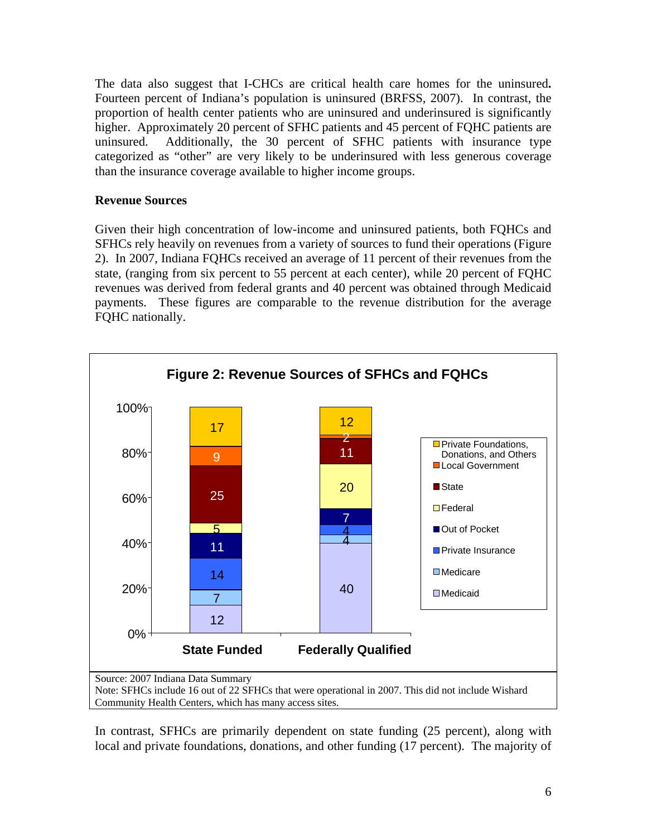The data also suggest that I-CHCs are critical health care homes for the uninsured**.** Fourteen percent of Indiana's population is uninsured (BRFSS, 2007). In contrast, the proportion of health center patients who are uninsured and underinsured is significantly higher. Approximately 20 percent of SFHC patients and 45 percent of FQHC patients are uninsured. Additionally, the 30 percent of SFHC patients with insurance type categorized as "other" are very likely to be underinsured with less generous coverage than the insurance coverage available to higher income groups.

## **Revenue Sources**

Given their high concentration of low-income and uninsured patients, both FQHCs and SFHCs rely heavily on revenues from a variety of sources to fund their operations (Figure 2). In 2007, Indiana FQHCs received an average of 11 percent of their revenues from the state, (ranging from six percent to 55 percent at each center), while 20 percent of FQHC revenues was derived from federal grants and 40 percent was obtained through Medicaid payments. These figures are comparable to the revenue distribution for the average FQHC nationally.



In contrast, SFHCs are primarily dependent on state funding (25 percent), along with local and private foundations, donations, and other funding (17 percent). The majority of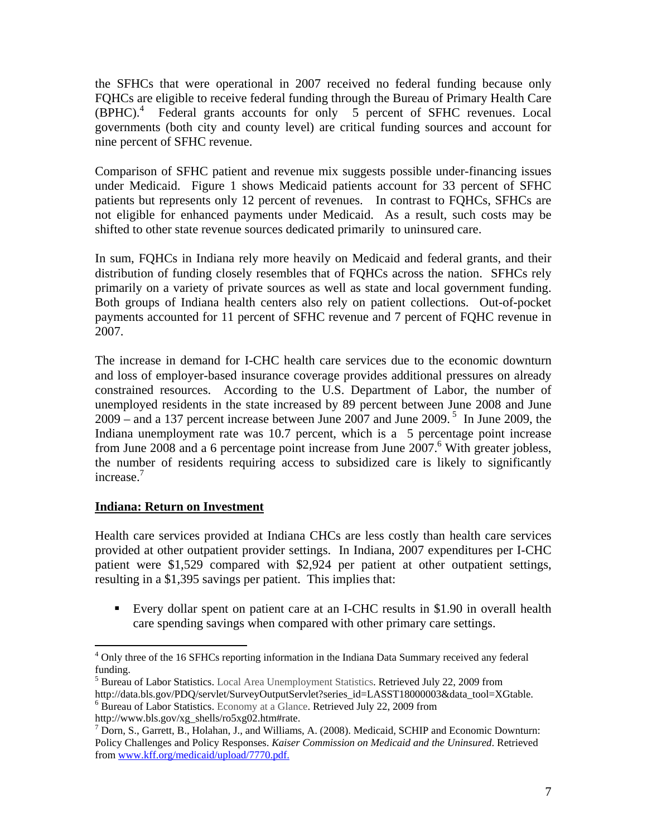the SFHCs that were operational in 2007 received no federal funding because only FQHCs are eligible to receive federal funding through the Bureau of Primary Health Care (BPHC).<sup>4</sup> Federal grants accounts for only 5 percent of SFHC revenues. Local governments (both city and county level) are critical funding sources and account for nine percent of SFHC revenue.

Comparison of SFHC patient and revenue mix suggests possible under-financing issues under Medicaid. Figure 1 shows Medicaid patients account for 33 percent of SFHC patients but represents only 12 percent of revenues. In contrast to FQHCs, SFHCs are not eligible for enhanced payments under Medicaid. As a result, such costs may be shifted to other state revenue sources dedicated primarily to uninsured care.

In sum, FQHCs in Indiana rely more heavily on Medicaid and federal grants, and their distribution of funding closely resembles that of FQHCs across the nation. SFHCs rely primarily on a variety of private sources as well as state and local government funding. Both groups of Indiana health centers also rely on patient collections. Out-of-pocket payments accounted for 11 percent of SFHC revenue and 7 percent of FQHC revenue in 2007.

The increase in demand for I-CHC health care services due to the economic downturn and loss of employer-based insurance coverage provides additional pressures on already constrained resources. According to the U.S. Department of Labor, the number of unemployed residents in the state increased by 89 percent between June 2008 and June 2009 – and a 137 percent increase between June 2007 and June 2009.<sup>5</sup> In June 2009, the Indiana unemployment rate was 10.7 percent, which is a 5 percentage point increase from June 2008 and a 6 percentage point increase from June  $2007$ .<sup>6</sup> With greater jobless, the number of residents requiring access to subsidized care is likely to significantly increase.<sup>7</sup>

## **Indiana: Return on Investment**

Health care services provided at Indiana CHCs are less costly than health care services provided at other outpatient provider settings. In Indiana, 2007 expenditures per I-CHC patient were \$1,529 compared with \$2,924 per patient at other outpatient settings, resulting in a \$1,395 savings per patient. This implies that:

 Every dollar spent on patient care at an I-CHC results in \$1.90 in overall health care spending savings when compared with other primary care settings.

 $\overline{a}$ <sup>4</sup> Only three of the 16 SFHCs reporting information in the Indiana Data Summary received any federal funding.

<sup>&</sup>lt;sup>5</sup> Bureau of Labor Statistics. Local Area Unemployment Statistics. Retrieved July 22, 2009 from

http://data.bls.gov/PDQ/servlet/SurveyOutputServlet?series\_id=LASST18000003&data\_tool=XGtable. <sup>6</sup> Bureau of Labor Statistics. Economy at a Glance. Retrieved July 22, 2009 from http://www.bls.gov/xg\_shells/ro5xg02.htm#rate.

<sup>&</sup>lt;sup>7</sup> Dorn, S., Garrett, B., Holahan, J., and Williams, A. (2008). Medicaid, SCHIP and Economic Downturn: Policy Challenges and Policy Responses. *Kaiser Commission on Medicaid and the Uninsured*. Retrieved from www.kff.org/medicaid/upload/7770.pdf.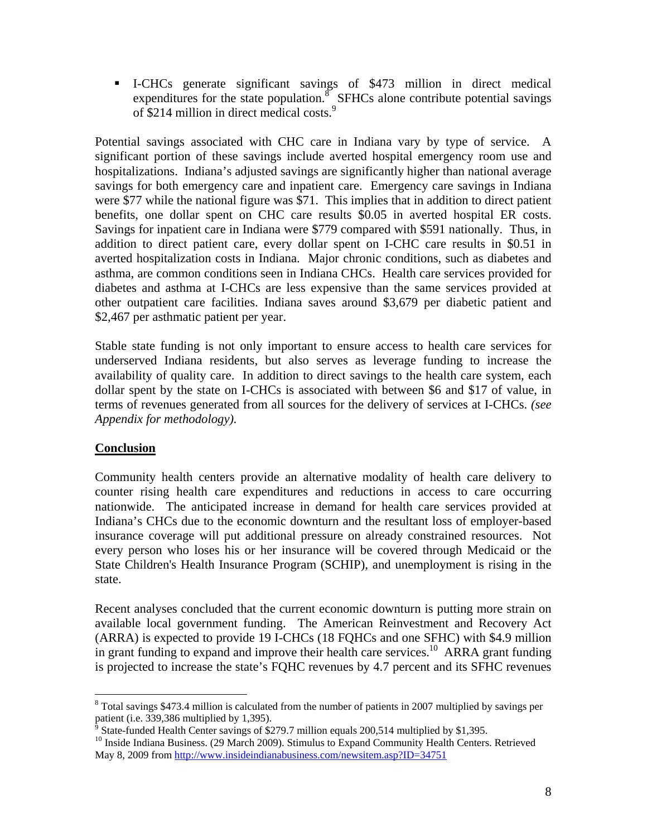I-CHCs generate significant savings of \$473 million in direct medical expenditures for the state population.<sup>8</sup> SFHCs alone contribute potential savings of \$214 million in direct medical costs.<sup>9</sup>

Potential savings associated with CHC care in Indiana vary by type of service. A significant portion of these savings include averted hospital emergency room use and hospitalizations. Indiana's adjusted savings are significantly higher than national average savings for both emergency care and inpatient care. Emergency care savings in Indiana were \$77 while the national figure was \$71. This implies that in addition to direct patient benefits, one dollar spent on CHC care results \$0.05 in averted hospital ER costs. Savings for inpatient care in Indiana were \$779 compared with \$591 nationally. Thus, in addition to direct patient care, every dollar spent on I-CHC care results in \$0.51 in averted hospitalization costs in Indiana. Major chronic conditions, such as diabetes and asthma, are common conditions seen in Indiana CHCs. Health care services provided for diabetes and asthma at I-CHCs are less expensive than the same services provided at other outpatient care facilities. Indiana saves around \$3,679 per diabetic patient and \$2,467 per asthmatic patient per year.

Stable state funding is not only important to ensure access to health care services for underserved Indiana residents, but also serves as leverage funding to increase the availability of quality care. In addition to direct savings to the health care system, each dollar spent by the state on I-CHCs is associated with between \$6 and \$17 of value, in terms of revenues generated from all sources for the delivery of services at I-CHCs. *(see Appendix for methodology).* 

## **Conclusion**

Community health centers provide an alternative modality of health care delivery to counter rising health care expenditures and reductions in access to care occurring nationwide. The anticipated increase in demand for health care services provided at Indiana's CHCs due to the economic downturn and the resultant loss of employer-based insurance coverage will put additional pressure on already constrained resources. Not every person who loses his or her insurance will be covered through Medicaid or the State Children's Health Insurance Program (SCHIP), and unemployment is rising in the state.

Recent analyses concluded that the current economic downturn is putting more strain on available local government funding. The American Reinvestment and Recovery Act (ARRA) is expected to provide 19 I-CHCs (18 FQHCs and one SFHC) with \$4.9 million in grant funding to expand and improve their health care services.<sup>10</sup> ARRA grant funding is projected to increase the state's FQHC revenues by 4.7 percent and its SFHC revenues

<sup>&</sup>lt;sup>8</sup> Total savings \$473.4 million is calculated from the number of patients in 2007 multiplied by savings per patient (i.e. 339,386 multiplied by 1,395).<br><sup>9</sup> State funded Health Conter sayings of \$3

<sup>&</sup>lt;sup>9</sup> State-funded Health Center savings of \$279.7 million equals 200,514 multiplied by \$1,395.<br><sup>10</sup> Inside Indiana Business. (29 March 2009). Stimulus to Expand Community Health Centers. Retrieved May 8, 2009 from http://www.insideindianabusiness.com/newsitem.asp?ID=34751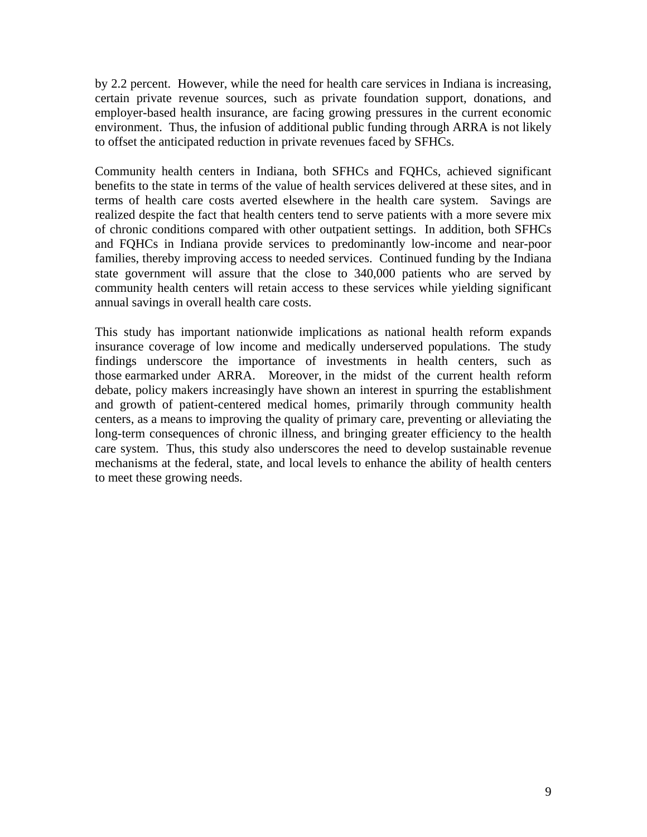by 2.2 percent. However, while the need for health care services in Indiana is increasing, certain private revenue sources, such as private foundation support, donations, and employer-based health insurance, are facing growing pressures in the current economic environment. Thus, the infusion of additional public funding through ARRA is not likely to offset the anticipated reduction in private revenues faced by SFHCs.

Community health centers in Indiana, both SFHCs and FQHCs, achieved significant benefits to the state in terms of the value of health services delivered at these sites, and in terms of health care costs averted elsewhere in the health care system. Savings are realized despite the fact that health centers tend to serve patients with a more severe mix of chronic conditions compared with other outpatient settings. In addition, both SFHCs and FQHCs in Indiana provide services to predominantly low-income and near-poor families, thereby improving access to needed services. Continued funding by the Indiana state government will assure that the close to 340,000 patients who are served by community health centers will retain access to these services while yielding significant annual savings in overall health care costs.

This study has important nationwide implications as national health reform expands insurance coverage of low income and medically underserved populations. The study findings underscore the importance of investments in health centers, such as those earmarked under ARRA. Moreover, in the midst of the current health reform debate, policy makers increasingly have shown an interest in spurring the establishment and growth of patient-centered medical homes, primarily through community health centers, as a means to improving the quality of primary care, preventing or alleviating the long-term consequences of chronic illness, and bringing greater efficiency to the health care system. Thus, this study also underscores the need to develop sustainable revenue mechanisms at the federal, state, and local levels to enhance the ability of health centers to meet these growing needs.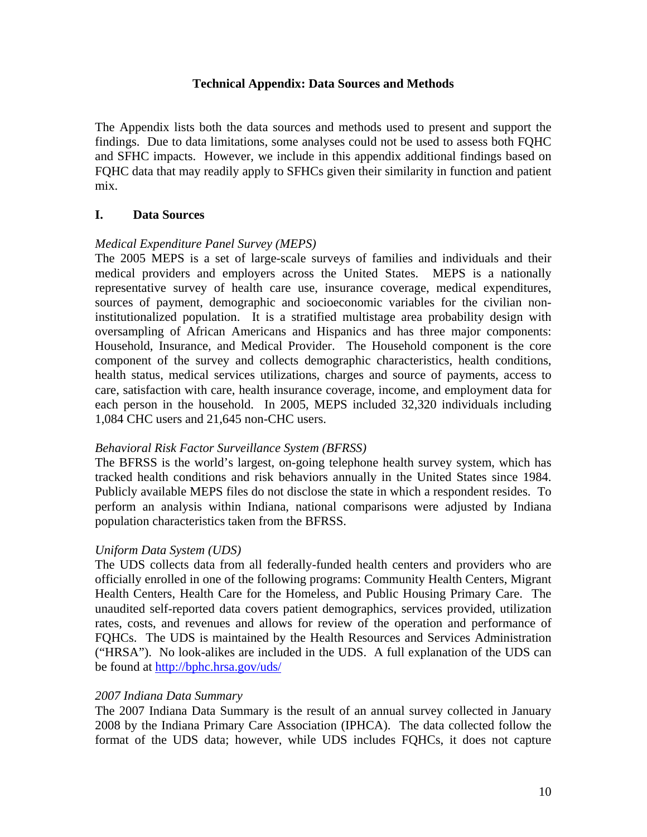#### **Technical Appendix: Data Sources and Methods**

The Appendix lists both the data sources and methods used to present and support the findings. Due to data limitations, some analyses could not be used to assess both FQHC and SFHC impacts. However, we include in this appendix additional findings based on FQHC data that may readily apply to SFHCs given their similarity in function and patient mix.

#### **I. Data Sources**

#### *Medical Expenditure Panel Survey (MEPS)*

The 2005 MEPS is a set of large-scale surveys of families and individuals and their medical providers and employers across the United States. MEPS is a nationally representative survey of health care use, insurance coverage, medical expenditures, sources of payment, demographic and socioeconomic variables for the civilian noninstitutionalized population. It is a stratified multistage area probability design with oversampling of African Americans and Hispanics and has three major components: Household, Insurance, and Medical Provider. The Household component is the core component of the survey and collects demographic characteristics, health conditions, health status, medical services utilizations, charges and source of payments, access to care, satisfaction with care, health insurance coverage, income, and employment data for each person in the household. In 2005, MEPS included 32,320 individuals including 1,084 CHC users and 21,645 non-CHC users.

#### *Behavioral Risk Factor Surveillance System (BFRSS)*

The BFRSS is the world's largest, on-going telephone health survey system, which has tracked health conditions and risk behaviors annually in the United States since 1984. Publicly available MEPS files do not disclose the state in which a respondent resides. To perform an analysis within Indiana, national comparisons were adjusted by Indiana population characteristics taken from the BFRSS.

#### *Uniform Data System (UDS)*

The UDS collects data from all federally-funded health centers and providers who are officially enrolled in one of the following programs: Community Health Centers, Migrant Health Centers, Health Care for the Homeless, and Public Housing Primary Care. The unaudited self-reported data covers patient demographics, services provided, utilization rates, costs, and revenues and allows for review of the operation and performance of FQHCs. The UDS is maintained by the Health Resources and Services Administration ("HRSA"). No look-alikes are included in the UDS. A full explanation of the UDS can be found at http://bphc.hrsa.gov/uds/

#### *2007 Indiana Data Summary*

The 2007 Indiana Data Summary is the result of an annual survey collected in January 2008 by the Indiana Primary Care Association (IPHCA). The data collected follow the format of the UDS data; however, while UDS includes FQHCs, it does not capture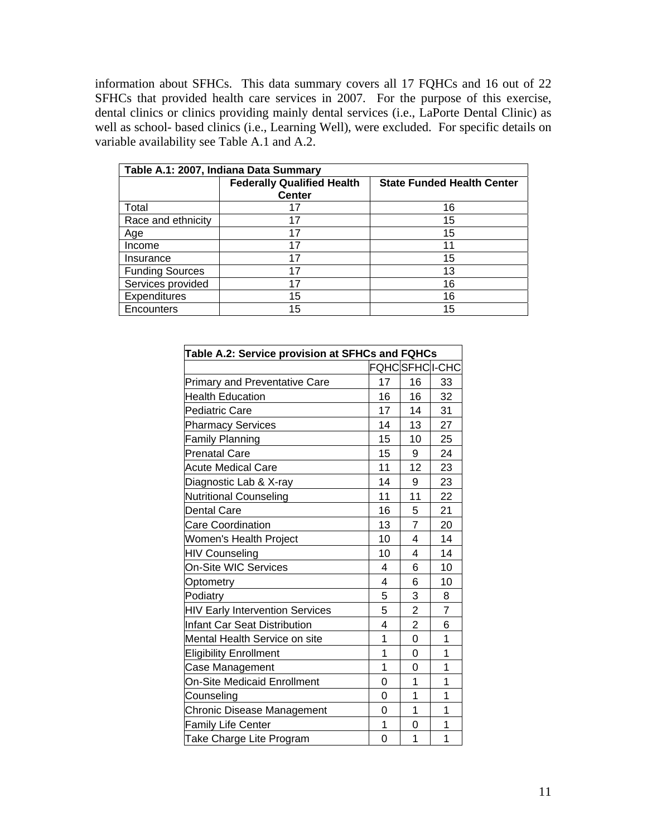information about SFHCs. This data summary covers all 17 FQHCs and 16 out of 22 SFHCs that provided health care services in 2007. For the purpose of this exercise, dental clinics or clinics providing mainly dental services (i.e., LaPorte Dental Clinic) as well as school- based clinics (i.e., Learning Well), were excluded. For specific details on variable availability see Table A.1 and A.2.

| Table A.1: 2007, Indiana Data Summary |                                                    |                                   |  |  |  |  |
|---------------------------------------|----------------------------------------------------|-----------------------------------|--|--|--|--|
|                                       | <b>Federally Qualified Health</b><br><b>Center</b> | <b>State Funded Health Center</b> |  |  |  |  |
| Total                                 | 17                                                 | 16                                |  |  |  |  |
| Race and ethnicity                    | 17                                                 | 15                                |  |  |  |  |
| Age                                   | 17                                                 | 15                                |  |  |  |  |
| Income                                | 17                                                 | 11                                |  |  |  |  |
| Insurance                             | 17                                                 | 15                                |  |  |  |  |
| <b>Funding Sources</b>                | 17                                                 | 13                                |  |  |  |  |
| Services provided                     | 17                                                 | 16                                |  |  |  |  |
| Expenditures                          | 15                                                 | 16                                |  |  |  |  |
| Encounters                            | 15                                                 | 15                                |  |  |  |  |

| Table A.2: Service provision at SFHCs and FQHCs |                |                |                |  |  |
|-------------------------------------------------|----------------|----------------|----------------|--|--|
|                                                 |                | FQHCSFHCI-CHC  |                |  |  |
| <b>Primary and Preventative Care</b>            | 17             | 16             | 33             |  |  |
| <b>Health Education</b>                         | 16             | 16             | 32             |  |  |
| <b>Pediatric Care</b>                           | 17             | 14             | 31             |  |  |
| <b>Pharmacy Services</b>                        | 14             | 13             | 27             |  |  |
| <b>Family Planning</b>                          | 15             | 10             | 25             |  |  |
| <b>Prenatal Care</b>                            | 15             | 9              | 24             |  |  |
| <b>Acute Medical Care</b>                       | 11             | 12             | 23             |  |  |
| Diagnostic Lab & X-ray                          | 14             | 9              | 23             |  |  |
| <b>Nutritional Counseling</b>                   | 11             | 11             | 22             |  |  |
| <b>Dental Care</b>                              | 16             | 5              | 21             |  |  |
| <b>Care Coordination</b>                        | 13             | $\overline{7}$ | 20             |  |  |
| <b>Women's Health Project</b>                   | 10             | 4              | 14             |  |  |
| <b>HIV Counseling</b>                           | 10             | 4              | 14             |  |  |
| On-Site WIC Services                            | 4              | 6              | 10             |  |  |
| Optometry                                       | 4              | 6              | 10             |  |  |
| Podiatry                                        | 5              | 3              | 8              |  |  |
| <b>HIV Early Intervention Services</b>          | 5              | $\overline{c}$ | $\overline{7}$ |  |  |
| Infant Car Seat Distribution                    | $\overline{4}$ | $\overline{c}$ | 6              |  |  |
| Mental Health Service on site                   | 1              | 0              | 1              |  |  |
| <b>Eligibility Enrollment</b>                   | $\overline{1}$ | 0              | $\overline{1}$ |  |  |
| Case Management                                 | 1              | 0              | 1              |  |  |
| On-Site Medicaid Enrollment                     | 0              | 1              | 1              |  |  |
| Counseling                                      | 0              | 1              | 1              |  |  |
| Chronic Disease Management                      | 0              | 1              | 1              |  |  |
| <b>Family Life Center</b>                       | 1              | 0              | 1              |  |  |
| Take Charge Lite Program                        | 0              | 1              | 1              |  |  |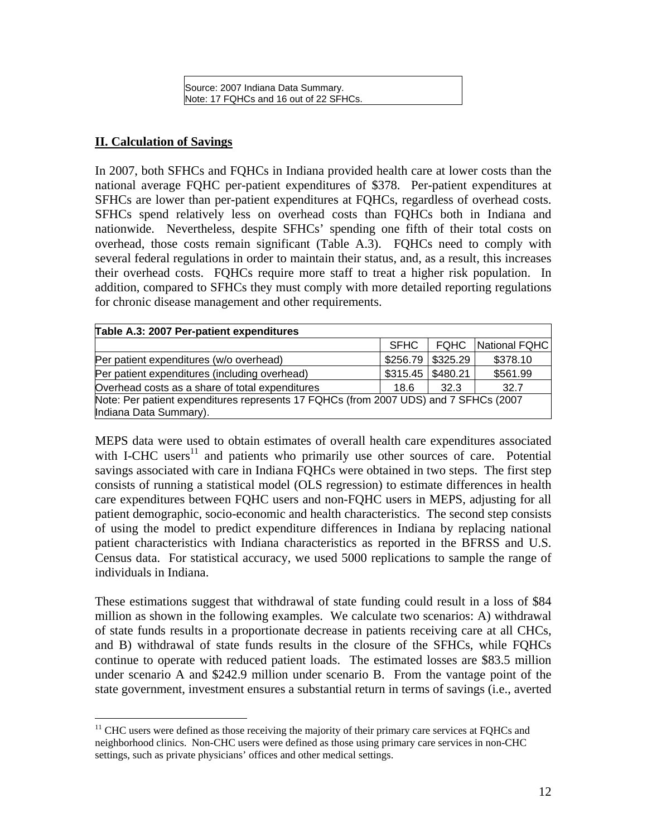Source: 2007 Indiana Data Summary. Note: 17 FQHCs and 16 out of 22 SFHCs.

#### **II. Calculation of Savings**

In 2007, both SFHCs and FQHCs in Indiana provided health care at lower costs than the national average FQHC per-patient expenditures of \$378. Per-patient expenditures at SFHCs are lower than per-patient expenditures at FQHCs, regardless of overhead costs. SFHCs spend relatively less on overhead costs than FQHCs both in Indiana and nationwide. Nevertheless, despite SFHCs' spending one fifth of their total costs on overhead, those costs remain significant (Table A.3). FQHCs need to comply with several federal regulations in order to maintain their status, and, as a result, this increases their overhead costs. FQHCs require more staff to treat a higher risk population. In addition, compared to SFHCs they must comply with more detailed reporting regulations for chronic disease management and other requirements.

| Table A.3: 2007 Per-patient expenditures                                             |      |                     |               |  |  |  |
|--------------------------------------------------------------------------------------|------|---------------------|---------------|--|--|--|
|                                                                                      | SFHC | <b>FOHC</b>         | National FQHC |  |  |  |
| Per patient expenditures (w/o overhead)                                              |      | $$256.79$ $$325.29$ | \$378.10      |  |  |  |
| Per patient expenditures (including overhead)                                        |      | $$315.45$ $$480.21$ | \$561.99      |  |  |  |
| Overhead costs as a share of total expenditures                                      | 18.6 | 32.3                | 32.7          |  |  |  |
| Note: Per patient expenditures represents 17 FQHCs (from 2007 UDS) and 7 SFHCs (2007 |      |                     |               |  |  |  |
| Indiana Data Summary).                                                               |      |                     |               |  |  |  |

MEPS data were used to obtain estimates of overall health care expenditures associated with I-CHC users $11$  and patients who primarily use other sources of care. Potential savings associated with care in Indiana FQHCs were obtained in two steps. The first step consists of running a statistical model (OLS regression) to estimate differences in health care expenditures between FQHC users and non-FQHC users in MEPS, adjusting for all patient demographic, socio-economic and health characteristics. The second step consists of using the model to predict expenditure differences in Indiana by replacing national patient characteristics with Indiana characteristics as reported in the BFRSS and U.S. Census data. For statistical accuracy, we used 5000 replications to sample the range of individuals in Indiana.

These estimations suggest that withdrawal of state funding could result in a loss of \$84 million as shown in the following examples. We calculate two scenarios: A) withdrawal of state funds results in a proportionate decrease in patients receiving care at all CHCs, and B) withdrawal of state funds results in the closure of the SFHCs, while FQHCs continue to operate with reduced patient loads. The estimated losses are \$83.5 million under scenario A and \$242.9 million under scenario B. From the vantage point of the state government, investment ensures a substantial return in terms of savings (i.e., averted

 $\overline{a}$  $11$  CHC users were defined as those receiving the majority of their primary care services at FQHCs and neighborhood clinics. Non-CHC users were defined as those using primary care services in non-CHC settings, such as private physicians' offices and other medical settings.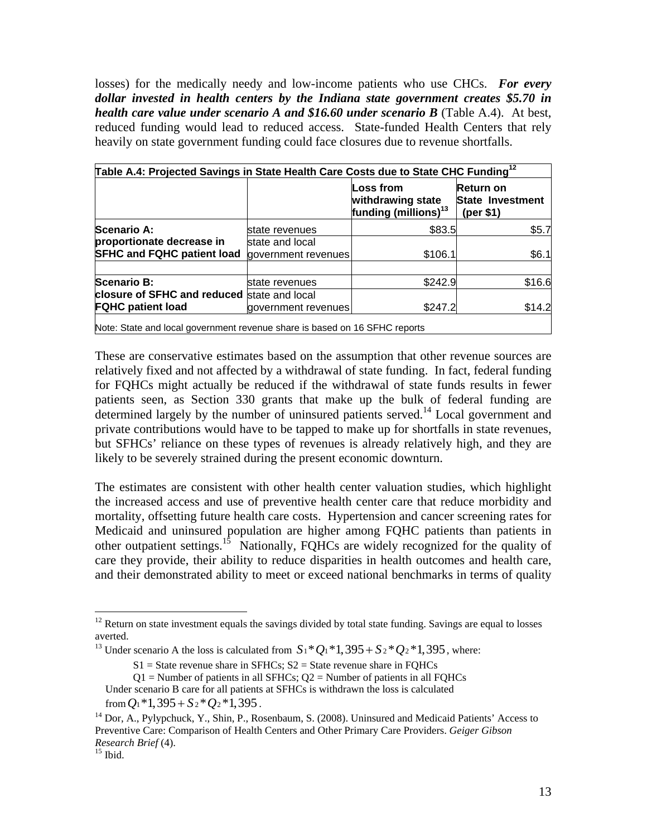losses) for the medically needy and low-income patients who use CHCs. *For every dollar invested in health centers by the Indiana state government creates \$5.70 in health care value under scenario A and \$16.60 under scenario B* (Table A.4). At best, reduced funding would lead to reduced access. State-funded Health Centers that rely heavily on state government funding could face closures due to revenue shortfalls.

| Table A.4: Projected Savings in State Health Care Costs due to State CHC Funding <sup>12</sup> |                     |                                                                    |                                                           |  |  |
|------------------------------------------------------------------------------------------------|---------------------|--------------------------------------------------------------------|-----------------------------------------------------------|--|--|
|                                                                                                |                     | Loss from<br>withdrawing state<br>funding (millions) <sup>13</sup> | <b>Return on</b><br><b>State Investment</b><br>(per $$1)$ |  |  |
| <b>Scenario A:</b>                                                                             | state revenues      | \$83.5                                                             | \$5.7                                                     |  |  |
| proportionate decrease in                                                                      | state and local     |                                                                    |                                                           |  |  |
| <b>SFHC and FQHC patient load</b>                                                              | government revenues | \$106.1                                                            | \$6.1                                                     |  |  |
| <b>Scenario B:</b>                                                                             | state revenues      | \$242.9                                                            | \$16.6                                                    |  |  |
| closure of SFHC and reduced state and local                                                    |                     |                                                                    |                                                           |  |  |
| <b>FQHC patient load</b>                                                                       | government revenues | \$247.2                                                            | \$14.2                                                    |  |  |

These are conservative estimates based on the assumption that other revenue sources are relatively fixed and not affected by a withdrawal of state funding. In fact, federal funding for FQHCs might actually be reduced if the withdrawal of state funds results in fewer patients seen, as Section 330 grants that make up the bulk of federal funding are determined largely by the number of uninsured patients served.<sup>14</sup> Local government and private contributions would have to be tapped to make up for shortfalls in state revenues, but SFHCs' reliance on these types of revenues is already relatively high, and they are likely to be severely strained during the present economic downturn.

The estimates are consistent with other health center valuation studies, which highlight the increased access and use of preventive health center care that reduce morbidity and mortality, offsetting future health care costs. Hypertension and cancer screening rates for Medicaid and uninsured population are higher among FQHC patients than patients in other outpatient settings.<sup>15</sup> Nationally, FQHCs are widely recognized for the quality of care they provide, their ability to reduce disparities in health outcomes and health care, and their demonstrated ability to meet or exceed national benchmarks in terms of quality

 $\overline{a}$ 

<sup>&</sup>lt;sup>12</sup> Return on state investment equals the savings divided by total state funding. Savings are equal to losses averted.

<sup>&</sup>lt;sup>13</sup> Under scenario A the loss is calculated from  $S_1 * Q_1 * 1$ ,  $395 + S_2 * Q_2 * 1$ ,  $395$ , where:

 $S1 =$  State revenue share in SFHCs;  $S2 =$  State revenue share in FQHCs

 $Q1$  = Number of patients in all SFHCs;  $Q2$  = Number of patients in all FQHCs

Under scenario B care for all patients at SFHCs is withdrawn the loss is calculated

from  $Q_1$ <sup>\*</sup>1,395 +  $S_2$ <sup>\*</sup> $Q_2$ <sup>\*1</sup>,395.<br><sup>14</sup> Dor, A., Pylypchuck, Y., Shin, P., Rosenbaum, S. (2008). Uninsured and Medicaid Patients' Access to

Preventive Care: Comparison of Health Centers and Other Primary Care Providers. *Geiger Gibson Research Brief* (4).<br><sup>15</sup> Ibid.